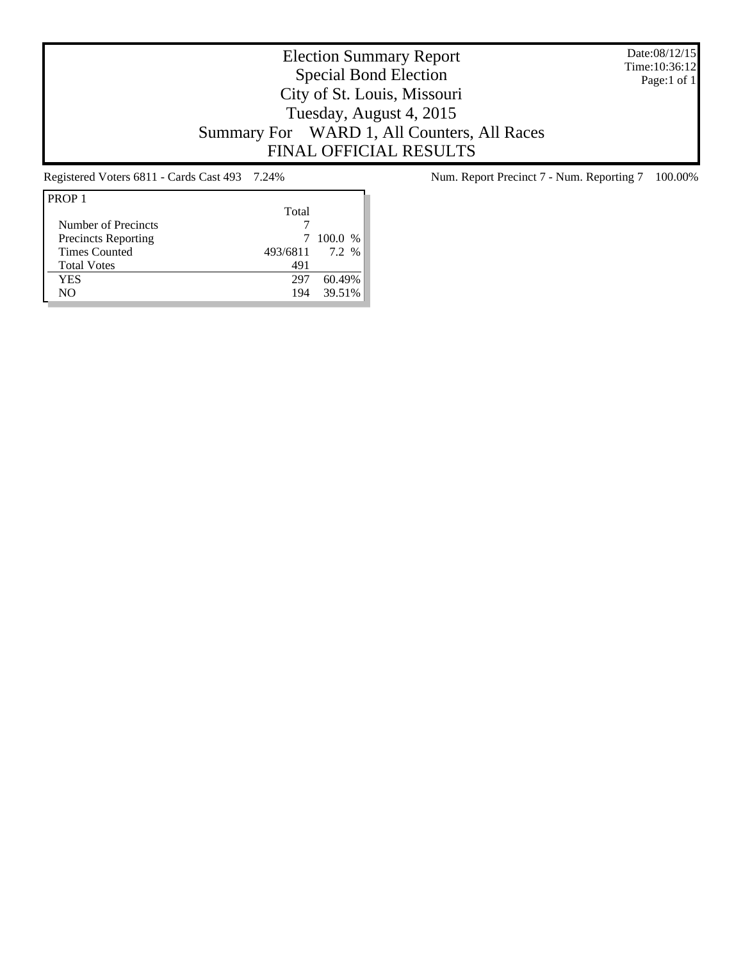Date:08/12/15 Time:10:36:12 Page:1 of 1

# Election Summary Report Special Bond Election City of St. Louis, Missouri Tuesday, August 4, 2015 Summary For WARD 1, All Counters, All Races FINAL OFFICIAL RESULTS

| PROP <sub>1</sub>          |          |           |
|----------------------------|----------|-----------|
|                            | Total    |           |
| Number of Precincts        |          |           |
| <b>Precincts Reporting</b> |          | $100.0\%$ |
| <b>Times Counted</b>       | 493/6811 | 7.2%      |
| <b>Total Votes</b>         | 491      |           |
| <b>YES</b>                 | 297      | 6049%     |
| NO                         | 194      | 39.51%    |
|                            |          |           |

Registered Voters 6811 - Cards Cast 493 7.24% Num. Report Precinct 7 - Num. Reporting 7 100.00%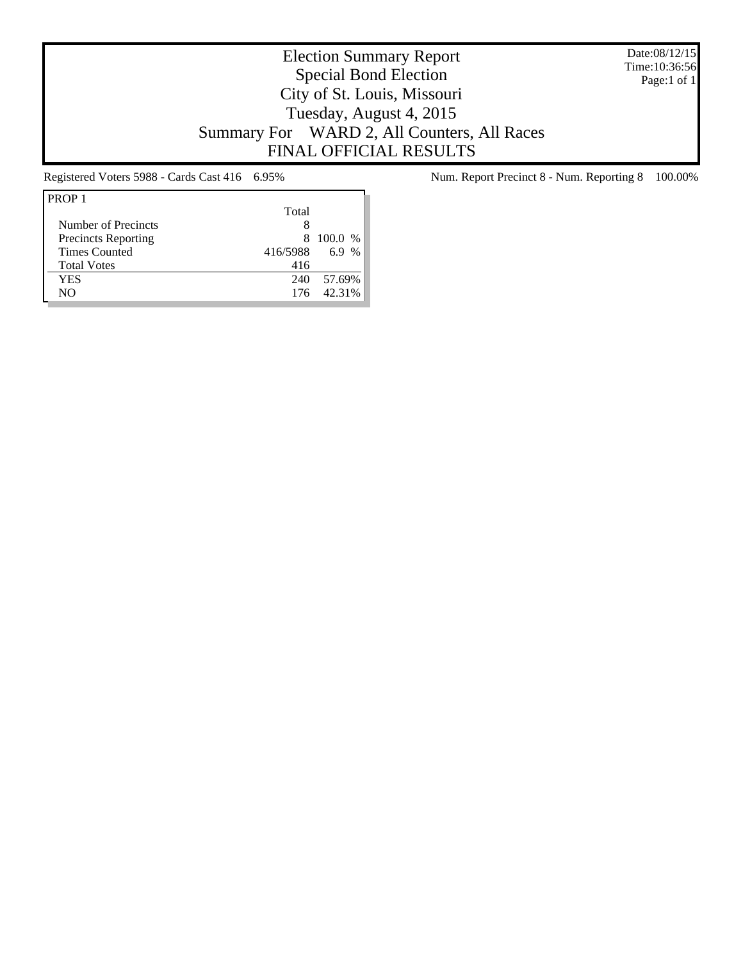Date:08/12/15 Time:10:36:56 Page:1 of 1

# Election Summary Report Special Bond Election City of St. Louis, Missouri Tuesday, August 4, 2015 Summary For WARD 2, All Counters, All Races FINAL OFFICIAL RESULTS

| PROP <sub>1</sub>          |          |           |
|----------------------------|----------|-----------|
|                            | Total    |           |
| Number of Precincts        | 8        |           |
| <b>Precincts Reporting</b> | x        | $100.0\%$ |
| <b>Times Counted</b>       | 416/5988 | 6.9 %     |
| <b>Total Votes</b>         | 416      |           |
| YES                        | 240      | 57.69%    |
| NΟ                         | 176      | 42.31%    |

Registered Voters 5988 - Cards Cast 416 6.95% Num. Report Precinct 8 - Num. Reporting 8 100.00%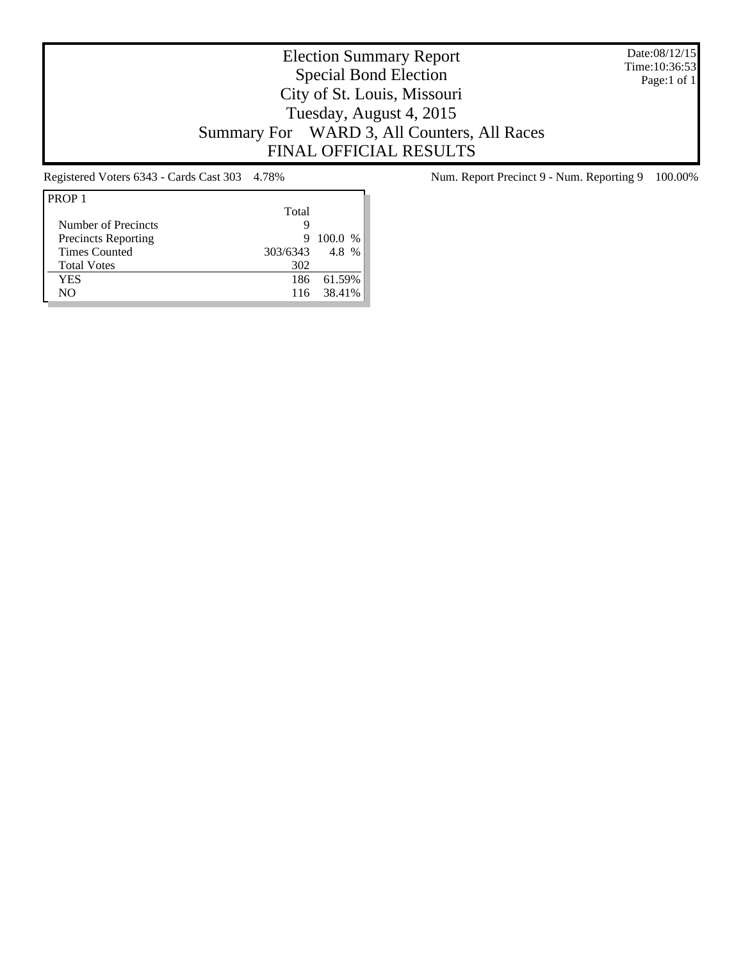Date:08/12/15 Time:10:36:53 Page:1 of 1

# Election Summary Report Special Bond Election City of St. Louis, Missouri Tuesday, August 4, 2015 Summary For WARD 3, All Counters, All Races FINAL OFFICIAL RESULTS

| PROP <sub>1</sub>          |          |           |
|----------------------------|----------|-----------|
|                            | Total    |           |
| Number of Precincts        | g        |           |
| <b>Precincts Reporting</b> | 9        | $100.0\%$ |
| <b>Times Counted</b>       | 303/6343 | 4.8 %     |
| <b>Total Votes</b>         | 302      |           |
| YES                        | 186      | 61.59%    |
| NΟ                         | 116      | 38.41%    |

Registered Voters 6343 - Cards Cast 303 4.78% Num. Report Precinct 9 - Num. Reporting 9 100.00%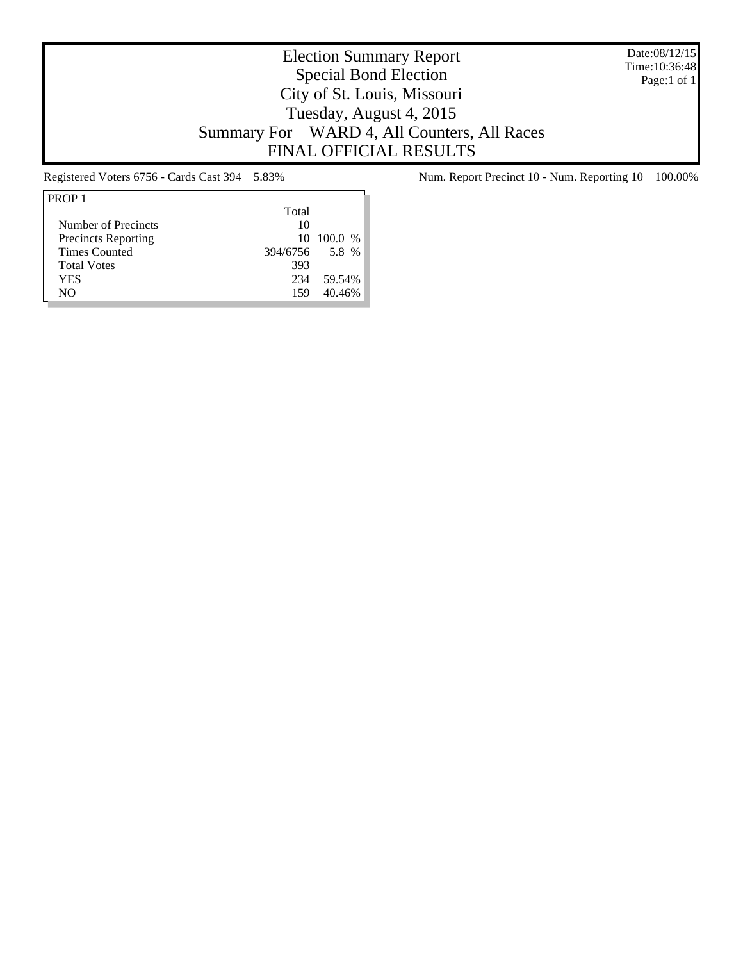Date:08/12/15 Time:10:36:48 Page:1 of 1

# Election Summary Report Special Bond Election City of St. Louis, Missouri Tuesday, August 4, 2015 Summary For WARD 4, All Counters, All Races FINAL OFFICIAL RESULTS

| PROP <sub>1</sub>          |          |             |
|----------------------------|----------|-------------|
|                            | Total    |             |
| Number of Precincts        | 10       |             |
| <b>Precincts Reporting</b> |          | 10, 100.0 % |
| <b>Times Counted</b>       | 394/6756 | 5.8 %       |
| <b>Total Votes</b>         | 393      |             |
| YES                        | 234      | 59.54%      |
| NΟ                         | 159      | 40.46%      |

Registered Voters 6756 - Cards Cast 394 5.83% Num. Report Precinct 10 - Num. Reporting 10 100.00%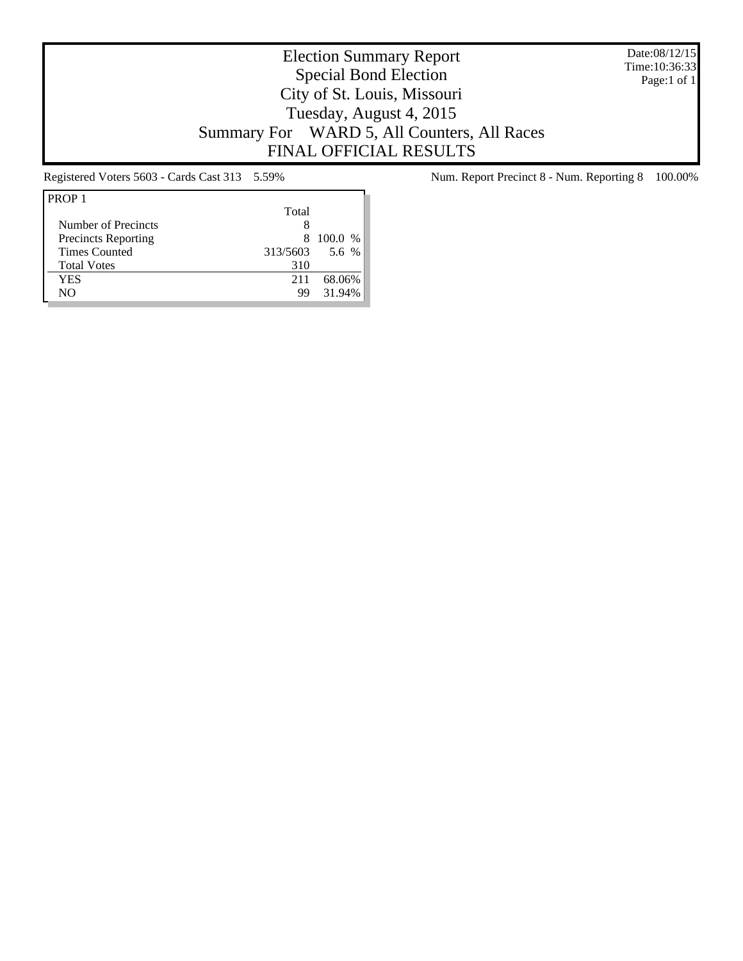Date:08/12/15 Time:10:36:33 Page:1 of 1

# Election Summary Report Special Bond Election City of St. Louis, Missouri Tuesday, August 4, 2015 Summary For WARD 5, All Counters, All Races FINAL OFFICIAL RESULTS

| Total    |         |
|----------|---------|
|          |         |
| x        | 100.0 % |
| 313/5603 | 5.6 %   |
| 310      |         |
| 211      | 68.06%  |
| 99       | 31.94%  |
|          |         |

Registered Voters 5603 - Cards Cast 313 5.59% Num. Report Precinct 8 - Num. Reporting 8 100.00%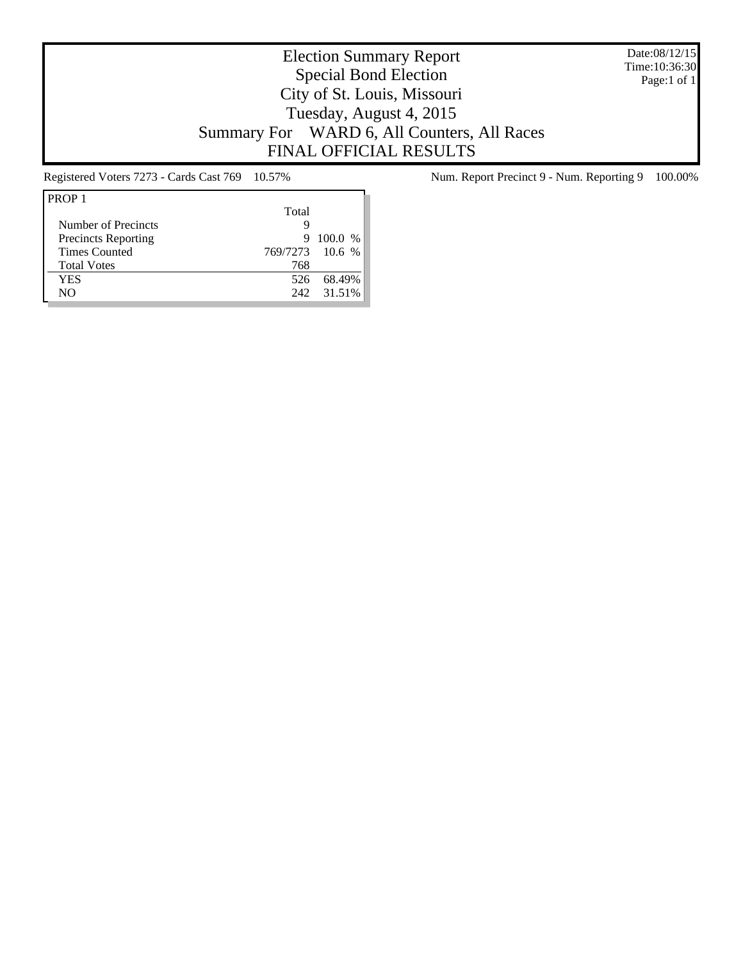Date:08/12/15 Time:10:36:30 Page:1 of 1

# Election Summary Report Special Bond Election City of St. Louis, Missouri Tuesday, August 4, 2015 Summary For WARD 6, All Counters, All Races FINAL OFFICIAL RESULTS

| PROP <sub>1</sub>          |                 |         |
|----------------------------|-----------------|---------|
|                            | Total           |         |
| Number of Precincts        | g               |         |
| <b>Precincts Reporting</b> | 9               | 100.0 % |
| <b>Times Counted</b>       | 769/7273 10.6 % |         |
| <b>Total Votes</b>         | 768             |         |
| YES                        | 526             | 68.49%  |
| NΟ                         | 242.            | 31.51%  |

Registered Voters 7273 - Cards Cast 769 10.57% Num. Report Precinct 9 - Num. Reporting 9 100.00%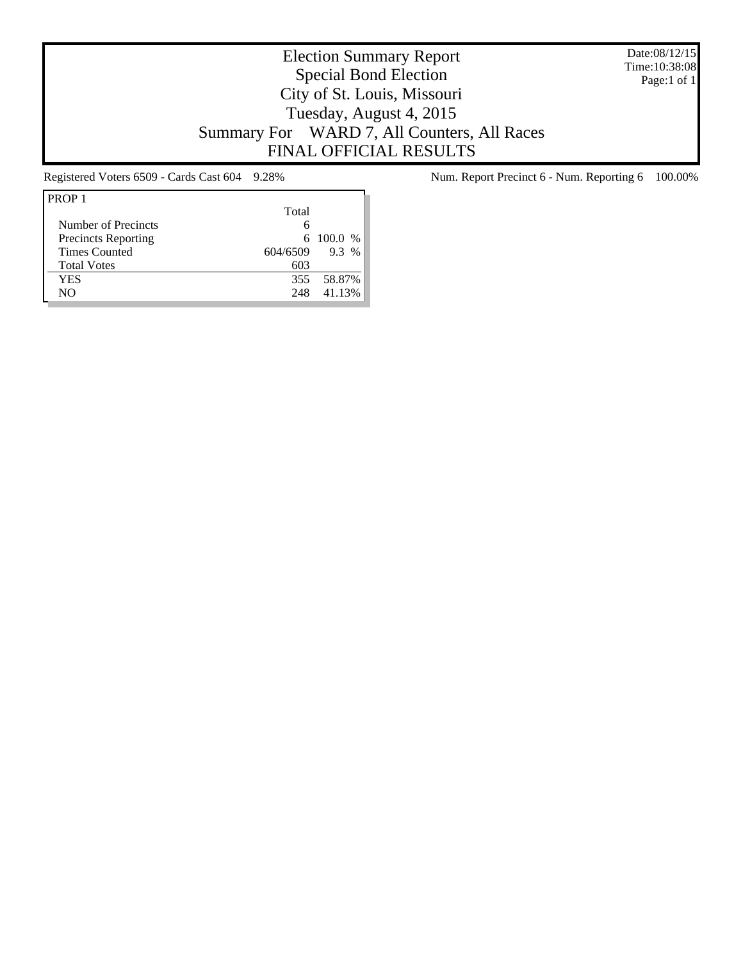Date:08/12/15 Time:10:38:08 Page:1 of 1

# Election Summary Report Special Bond Election City of St. Louis, Missouri Tuesday, August 4, 2015 Summary For WARD 7, All Counters, All Races FINAL OFFICIAL RESULTS

| PROP <sub>1</sub>          |          |           |
|----------------------------|----------|-----------|
|                            | Total    |           |
| Number of Precincts        | 6        |           |
| <b>Precincts Reporting</b> |          | 6 100.0 % |
| <b>Times Counted</b>       | 604/6509 | $9.3\%$   |
| <b>Total Votes</b>         | 603      |           |
| YES                        | 355      | 58.87%    |
| NΟ                         | 248      | 41.13%    |

Registered Voters 6509 - Cards Cast 604 9.28% Num. Report Precinct 6 - Num. Reporting 6 100.00%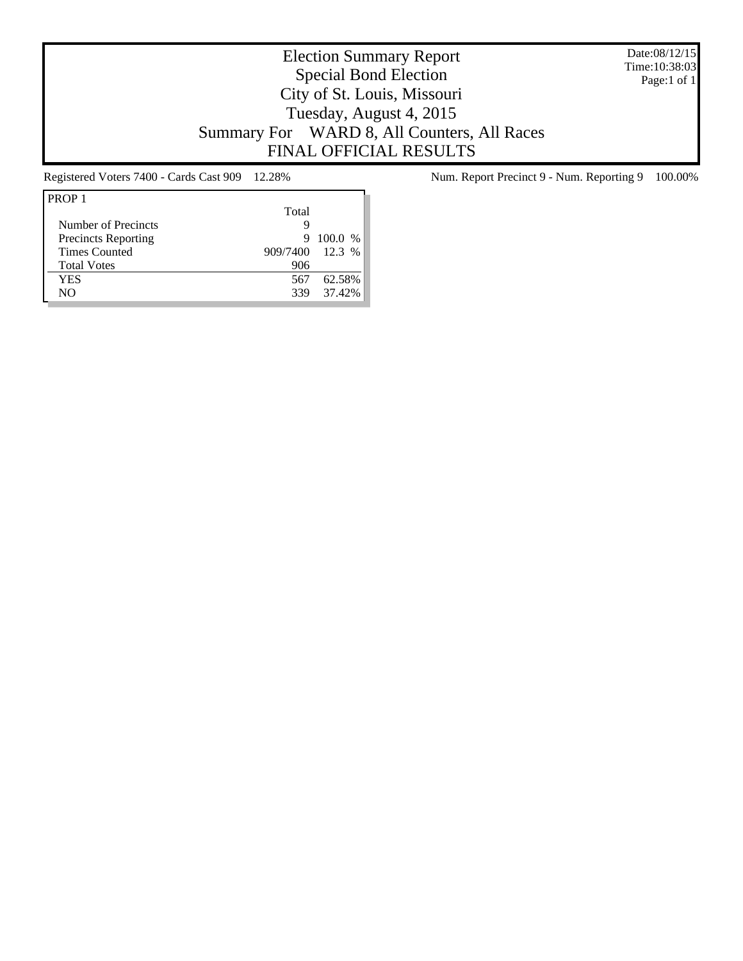Date:08/12/15 Time:10:38:03 Page:1 of 1

# Election Summary Report Special Bond Election City of St. Louis, Missouri Tuesday, August 4, 2015 Summary For WARD 8, All Counters, All Races FINAL OFFICIAL RESULTS

| PROP <sub>1</sub>          |                 |           |
|----------------------------|-----------------|-----------|
|                            | Total           |           |
| Number of Precincts        | Q               |           |
| <b>Precincts Reporting</b> | 9               | $100.0\%$ |
| <b>Times Counted</b>       | 909/7400 12.3 % |           |
| <b>Total Votes</b>         | 906             |           |
| YES                        | 567             | 62.58%    |
| NΟ                         | 339             | 37.42%    |

Registered Voters 7400 - Cards Cast 909 12.28% Num. Report Precinct 9 - Num. Reporting 9 100.00%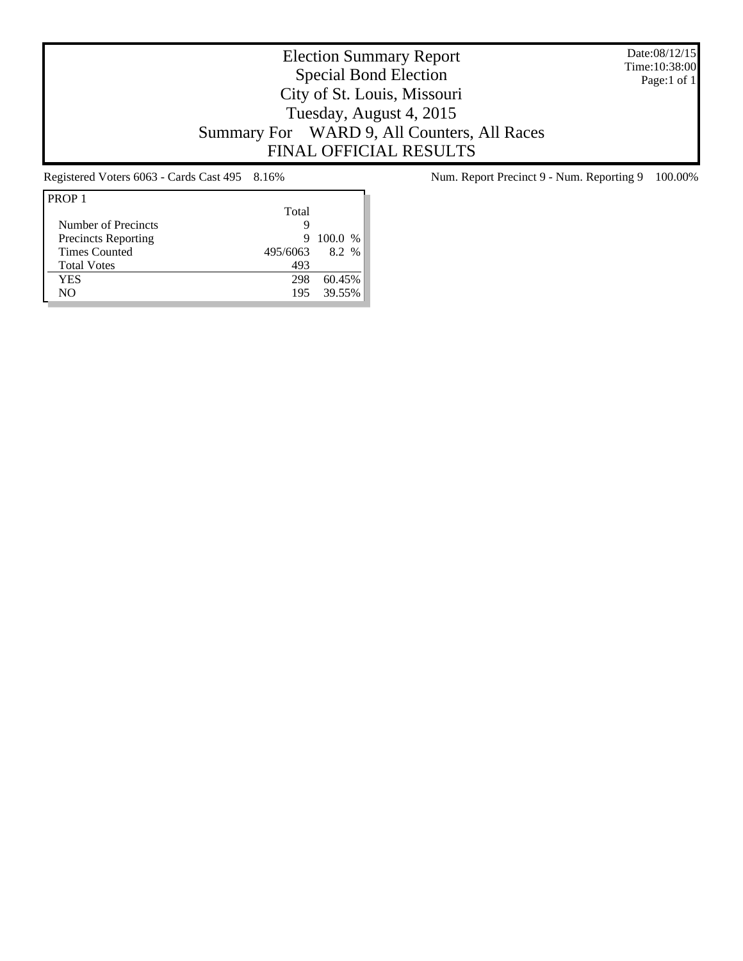Date:08/12/15 Time:10:38:00 Page:1 of 1

# Election Summary Report Special Bond Election City of St. Louis, Missouri Tuesday, August 4, 2015 Summary For WARD 9, All Counters, All Races FINAL OFFICIAL RESULTS

| PROP <sub>1</sub>          |          |         |
|----------------------------|----------|---------|
|                            | Total    |         |
| Number of Precincts        | Q        |         |
| <b>Precincts Reporting</b> | 9        | 100.0 % |
| <b>Times Counted</b>       | 495/6063 | 8.2%    |
| <b>Total Votes</b>         | 493      |         |
| <b>YES</b>                 | 298      | 60.45%  |
| NΟ                         | 195      | 39.55%  |

Registered Voters 6063 - Cards Cast 495 8.16% Num. Report Precinct 9 - Num. Reporting 9 100.00%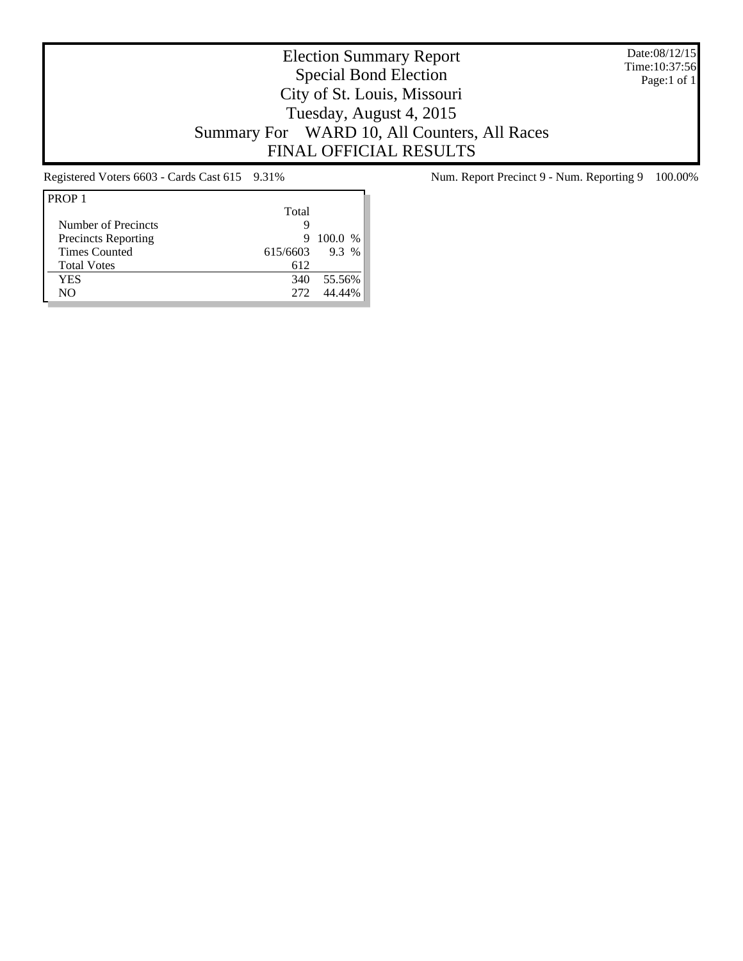Date:08/12/15 Time:10:37:56 Page:1 of 1

# Election Summary Report Special Bond Election City of St. Louis, Missouri Tuesday, August 4, 2015 Summary For WARD 10, All Counters, All Races FINAL OFFICIAL RESULTS

| PROP <sub>1</sub>          |          |         |
|----------------------------|----------|---------|
|                            | Total    |         |
| Number of Precincts        | Q        |         |
| <b>Precincts Reporting</b> | 9        | 100.0 % |
| <b>Times Counted</b>       | 615/6603 | $9.3\%$ |
| <b>Total Votes</b>         | 612      |         |
| YES                        | 340      | 55.56%  |
| NΟ                         | 272      | 44 44%  |

Registered Voters 6603 - Cards Cast 615 9.31% Num. Report Precinct 9 - Num. Reporting 9 100.00%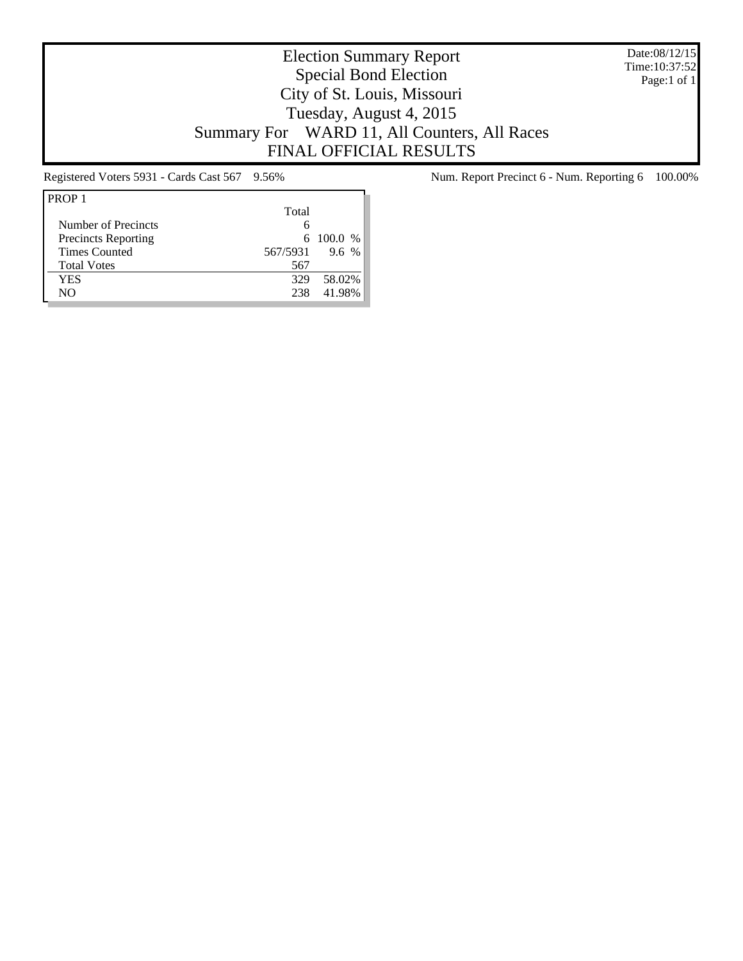Date:08/12/15 Time:10:37:52 Page:1 of 1

# Election Summary Report Special Bond Election City of St. Louis, Missouri Tuesday, August 4, 2015 Summary For WARD 11, All Counters, All Races FINAL OFFICIAL RESULTS

| PROP <sub>1</sub>          |          |             |
|----------------------------|----------|-------------|
|                            | Total    |             |
| Number of Precincts        | 6        |             |
| <b>Precincts Reporting</b> |          | 6 100.0 $%$ |
| <b>Times Counted</b>       | 567/5931 | 9.6 %       |
| <b>Total Votes</b>         | 567      |             |
| YES                        | 329      | 58.02%      |
| NΟ                         | 238      | 41.98%      |

Registered Voters 5931 - Cards Cast 567 9.56% Num. Report Precinct 6 - Num. Reporting 6 100.00%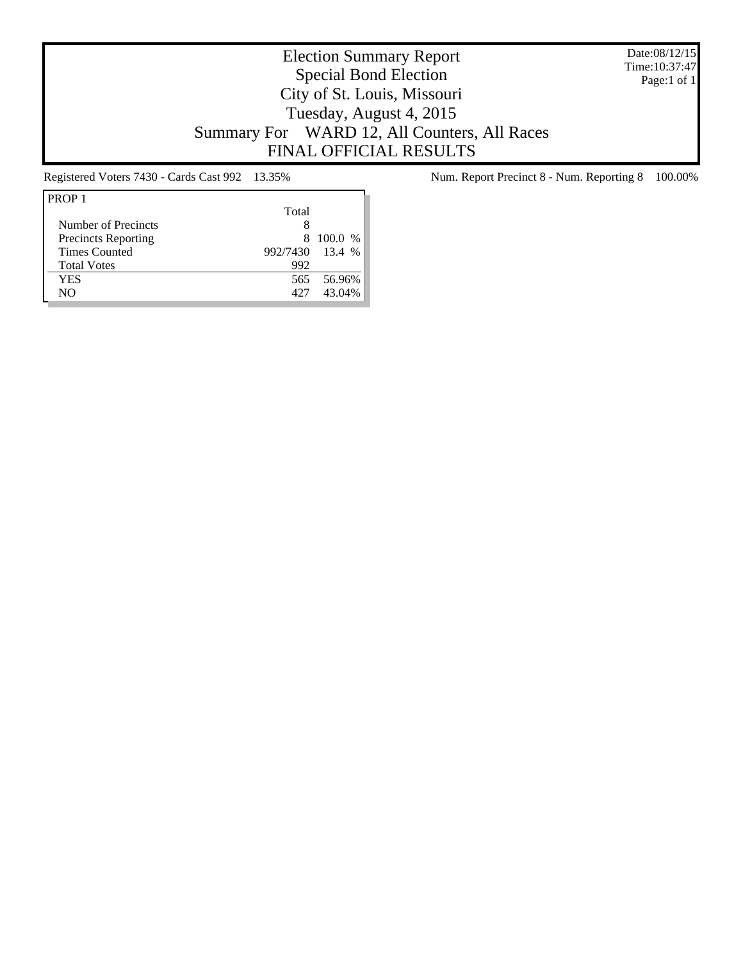Date:08/12/15 Time:10:37:47 Page:1 of 1

# Election Summary Report Special Bond Election City of St. Louis, Missouri Tuesday, August 4, 2015 Summary For WARD 12, All Counters, All Races FINAL OFFICIAL RESULTS

| PROP <sub>1</sub>          |                 |         |
|----------------------------|-----------------|---------|
|                            | Total           |         |
| Number of Precincts        | 8               |         |
| <b>Precincts Reporting</b> | 8.              | 100.0 % |
| <b>Times Counted</b>       | 992/7430 13.4 % |         |
| <b>Total Votes</b>         | 992             |         |
| YES                        | 565             | 56.96%  |
| NΟ                         | 427             | 43.04%  |

Registered Voters 7430 - Cards Cast 992 13.35% Num. Report Precinct 8 - Num. Reporting 8 100.00%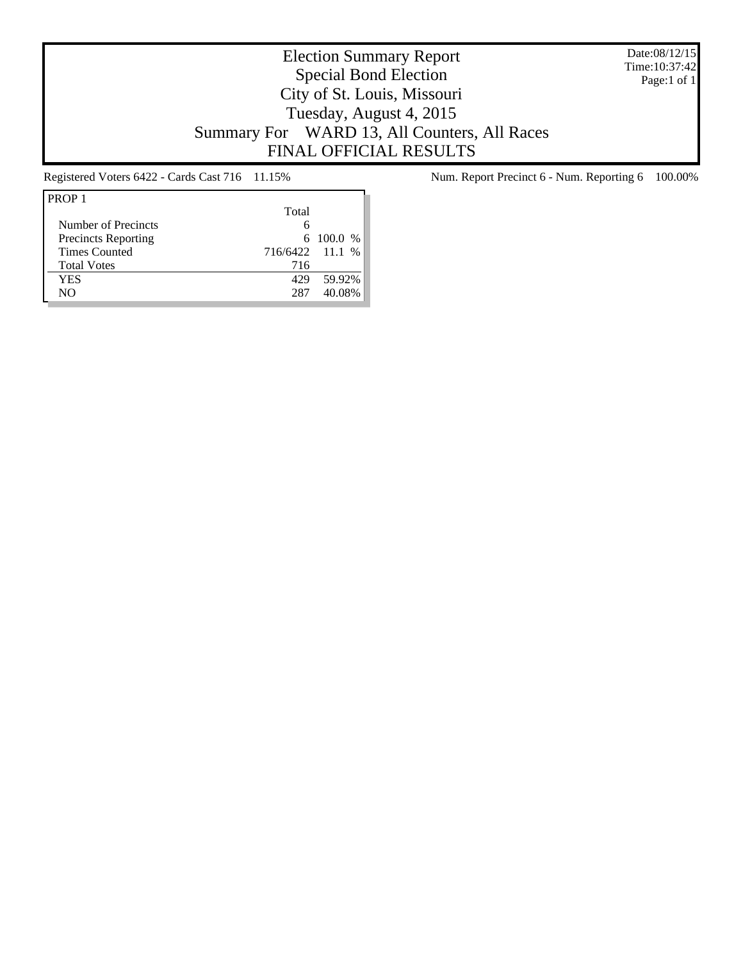Date:08/12/15 Time:10:37:42 Page:1 of 1

# Election Summary Report Special Bond Election City of St. Louis, Missouri Tuesday, August 4, 2015 Summary For WARD 13, All Counters, All Races FINAL OFFICIAL RESULTS

| PROP <sub>1</sub>          |                 |               |
|----------------------------|-----------------|---------------|
|                            | Total           |               |
| Number of Precincts        |                 |               |
| <b>Precincts Reporting</b> |                 | $6\ 100.0\ %$ |
| <b>Times Counted</b>       | 716/6422 11.1 % |               |
| <b>Total Votes</b>         | 716             |               |
| YES                        | 429             | 59.92%        |
| NΟ                         | 287             | 40.08%        |

Registered Voters 6422 - Cards Cast 716 11.15% Num. Report Precinct 6 - Num. Reporting 6 100.00%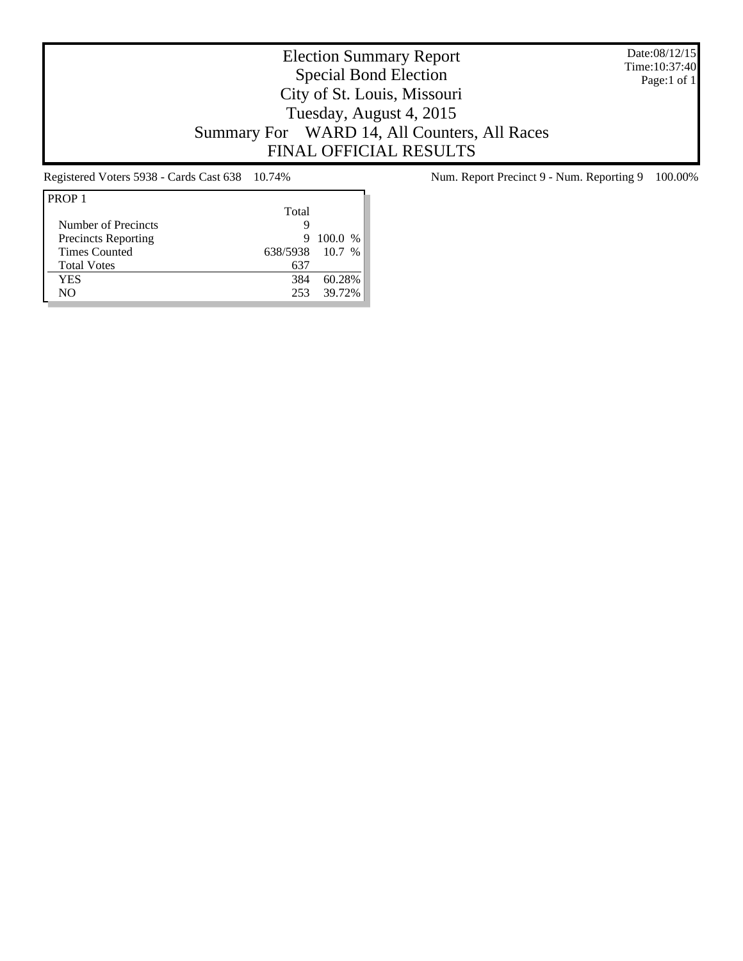Date:08/12/15 Time:10:37:40 Page:1 of 1

# Election Summary Report Special Bond Election City of St. Louis, Missouri Tuesday, August 4, 2015 Summary For WARD 14, All Counters, All Races FINAL OFFICIAL RESULTS

| Total           |           |
|-----------------|-----------|
|                 |           |
| 9               | $100.0\%$ |
| 638/5938 10.7 % |           |
| 637             |           |
| 384             | 60.28%    |
| 253             | 39.72%    |
|                 |           |

Registered Voters 5938 - Cards Cast 638 10.74% Num. Report Precinct 9 - Num. Reporting 9 100.00%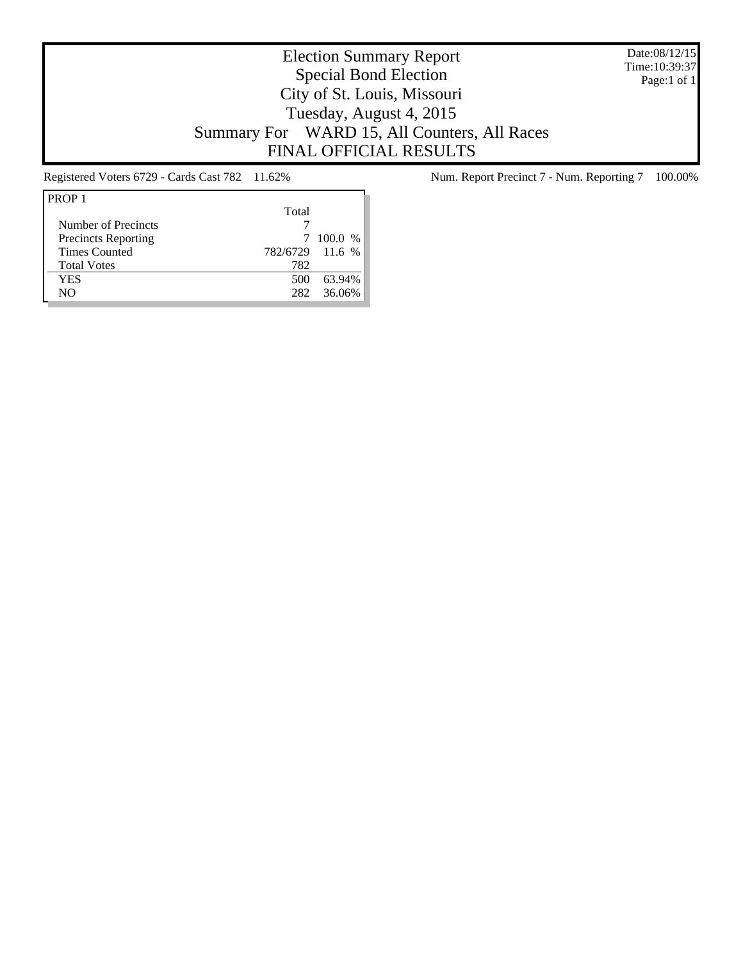Date:08/12/15 Time:10:39:37 Page:1 of 1

# Election Summary Report Special Bond Election City of St. Louis, Missouri Tuesday, August 4, 2015 Summary For WARD 15, All Counters, All Races FINAL OFFICIAL RESULTS

| Total |                 |
|-------|-----------------|
|       |                 |
|       | $100.0\%$       |
|       |                 |
| 782   |                 |
| 500   | 63.94%          |
| 282   | 36.06%          |
|       | 782/6729 11.6 % |

Registered Voters 6729 - Cards Cast 782 11.62% Num. Report Precinct 7 - Num. Reporting 7 100.00%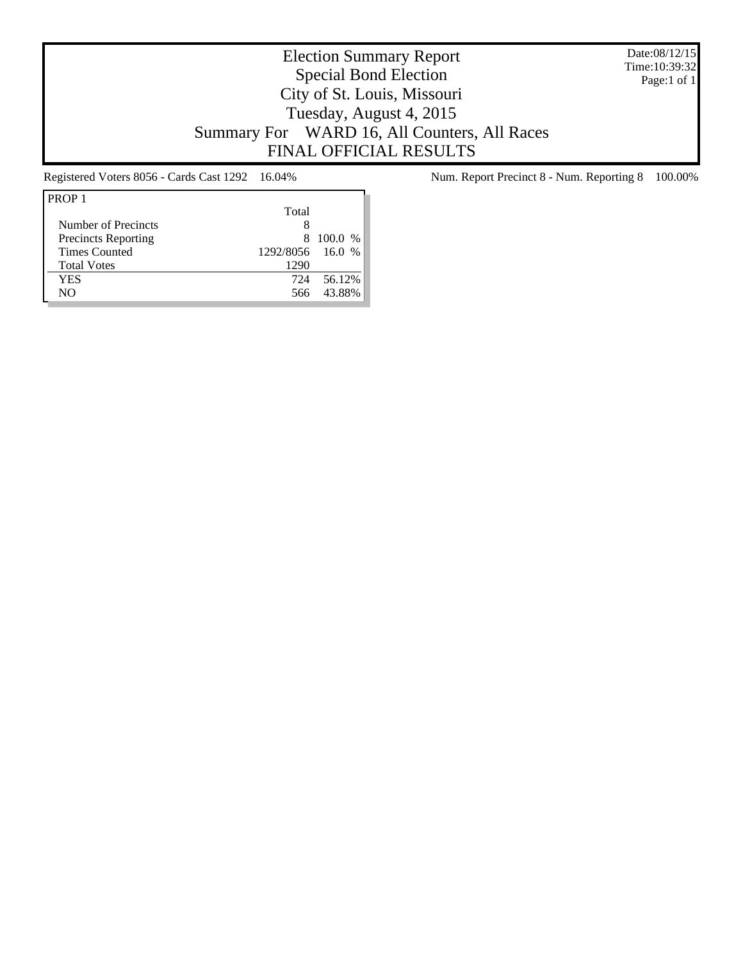Date:08/12/15 Time:10:39:32 Page:1 of 1

# Election Summary Report Special Bond Election City of St. Louis, Missouri Tuesday, August 4, 2015 Summary For WARD 16, All Counters, All Races FINAL OFFICIAL RESULTS

| PROP <sub>1</sub>          |                  |           |
|----------------------------|------------------|-----------|
|                            | Total            |           |
| Number of Precincts        | 8                |           |
| <b>Precincts Reporting</b> |                  | 8 100.0 % |
| <b>Times Counted</b>       | 1292/8056 16.0 % |           |
| <b>Total Votes</b>         | 1290             |           |
| YES                        | 724              | 56.12%    |
| NΟ                         | 566              | 43.88%    |

Registered Voters 8056 - Cards Cast 1292 16.04% Num. Report Precinct 8 - Num. Reporting 8 100.00%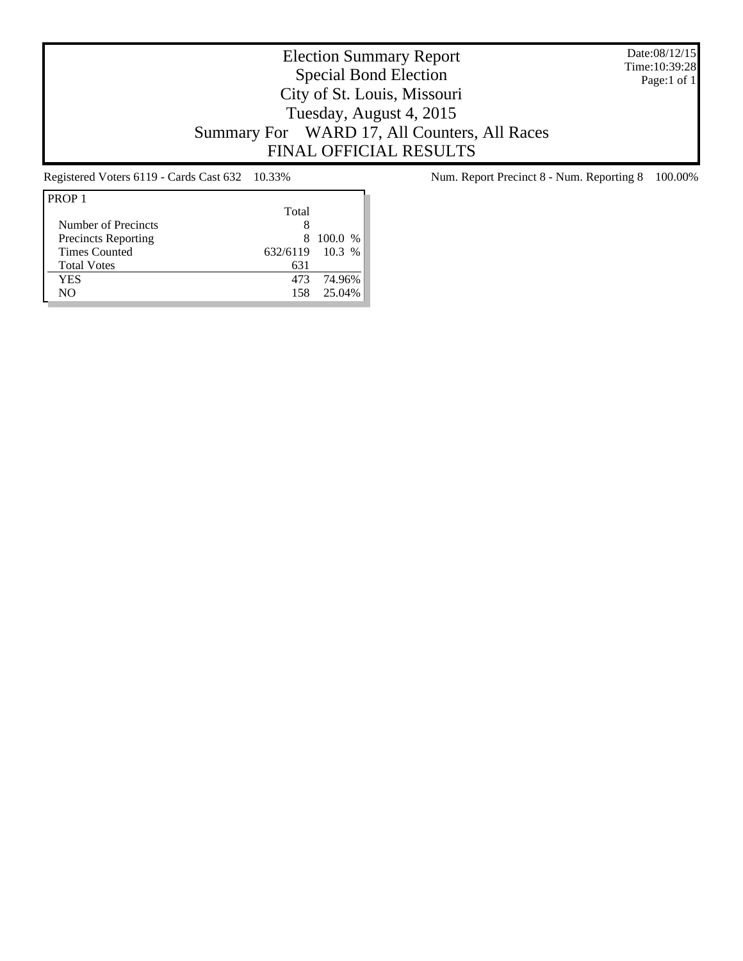Date:08/12/15 Time:10:39:28 Page:1 of 1

# Election Summary Report Special Bond Election City of St. Louis, Missouri Tuesday, August 4, 2015 Summary For WARD 17, All Counters, All Races FINAL OFFICIAL RESULTS

| PROP <sub>1</sub>          |                 |         |
|----------------------------|-----------------|---------|
|                            | Total           |         |
| Number of Precincts        | 8               |         |
| <b>Precincts Reporting</b> | 8.              | 100.0 % |
| <b>Times Counted</b>       | 632/6119 10.3 % |         |
| <b>Total Votes</b>         | 631             |         |
| YES                        | 473             | 74.96%  |
| NΟ                         | 158             | 25.04%  |

Registered Voters 6119 - Cards Cast 632 10.33% Num. Report Precinct 8 - Num. Reporting 8 100.00%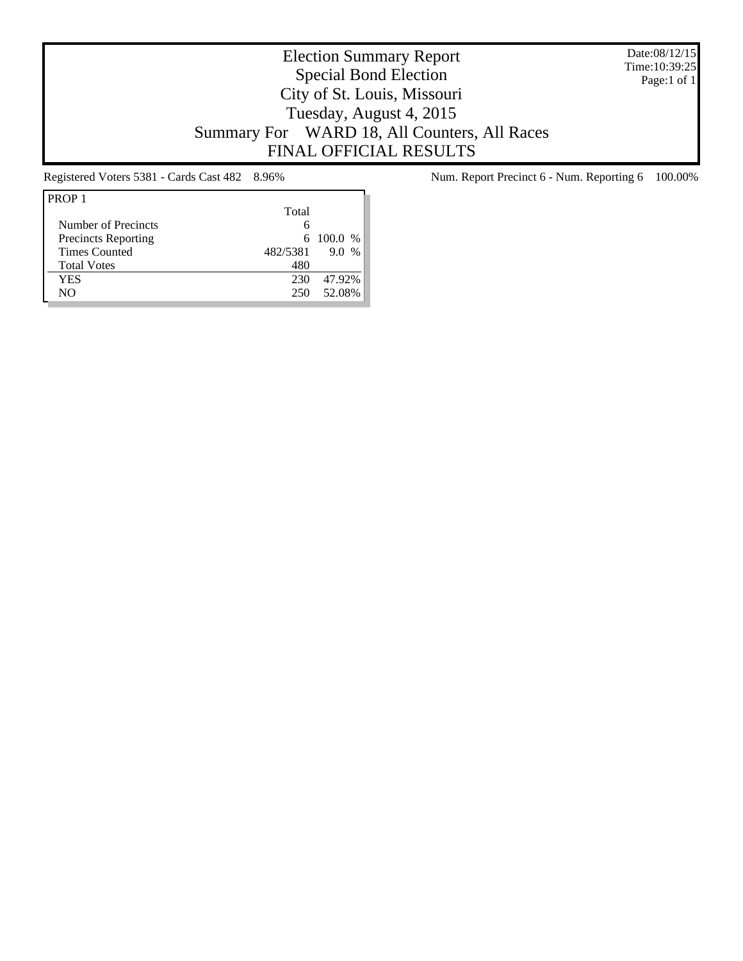Date:08/12/15 Time:10:39:25 Page:1 of 1

# Election Summary Report Special Bond Election City of St. Louis, Missouri Tuesday, August 4, 2015 Summary For WARD 18, All Counters, All Races FINAL OFFICIAL RESULTS

| PROP <sub>1</sub>          |          |                      |
|----------------------------|----------|----------------------|
|                            | Total    |                      |
| Number of Precincts        | 6        |                      |
| <b>Precincts Reporting</b> |          | 6 100.0 %            |
| <b>Times Counted</b>       | 482/5381 | 9.0<br>$\frac{0}{6}$ |
| <b>Total Votes</b>         | 480      |                      |
| YES                        | 230      | 47.92%               |
| NΟ                         | 250      | 52.08%               |

Registered Voters 5381 - Cards Cast 482 8.96% Num. Report Precinct 6 - Num. Reporting 6 100.00%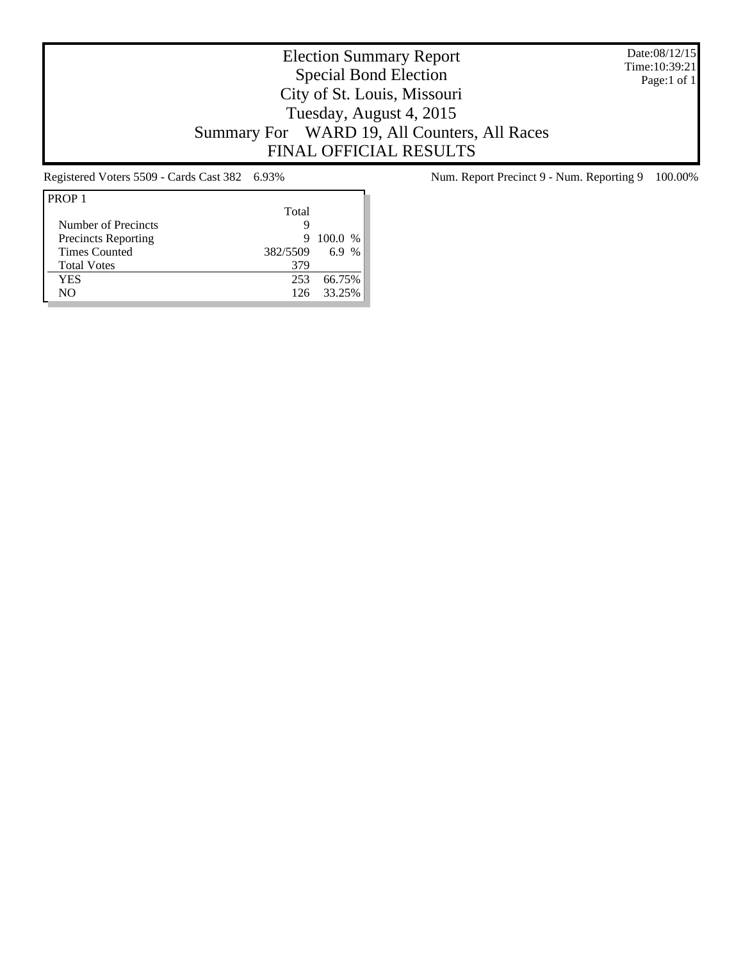Date:08/12/15 Time:10:39:21 Page:1 of 1

# Election Summary Report Special Bond Election City of St. Louis, Missouri Tuesday, August 4, 2015 Summary For WARD 19, All Counters, All Races FINAL OFFICIAL RESULTS

| PROP <sub>1</sub>          |          |         |
|----------------------------|----------|---------|
|                            | Total    |         |
| Number of Precincts        | g        |         |
| <b>Precincts Reporting</b> | 9        | 100.0 % |
| <b>Times Counted</b>       | 382/5509 | 6.9 %   |
| <b>Total Votes</b>         | 379      |         |
| YES                        | 253      | 66.75%  |
| NΟ                         | 126      | 33.25%  |

Registered Voters 5509 - Cards Cast 382 6.93% Num. Report Precinct 9 - Num. Reporting 9 100.00%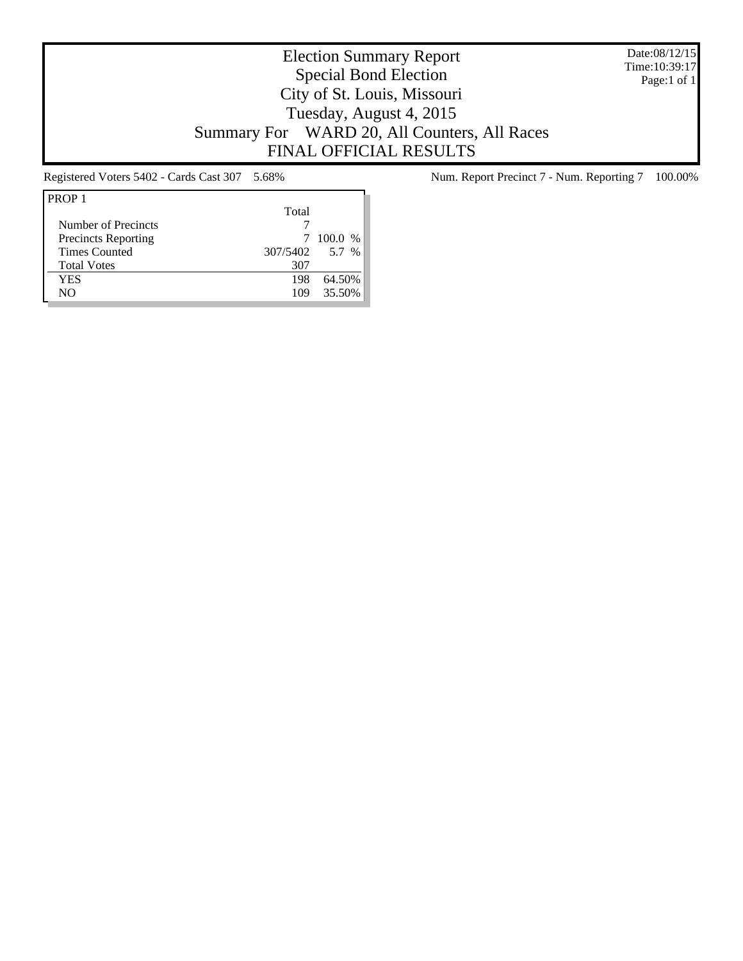Date:08/12/15 Time:10:39:17 Page:1 of 1

# Election Summary Report Special Bond Election City of St. Louis, Missouri Tuesday, August 4, 2015 Summary For WARD 20, All Counters, All Races FINAL OFFICIAL RESULTS

| PROP <sub>1</sub>          |          |           |
|----------------------------|----------|-----------|
|                            | Total    |           |
| Number of Precincts        |          |           |
| <b>Precincts Reporting</b> |          | $100.0\%$ |
| <b>Times Counted</b>       | 307/5402 | 5.7 %     |
| <b>Total Votes</b>         | 307      |           |
| YES                        | 198      | 64.50%    |
| NΟ                         | 109      | 35.50%    |

Registered Voters 5402 - Cards Cast 307 5.68% Num. Report Precinct 7 - Num. Reporting 7 100.00%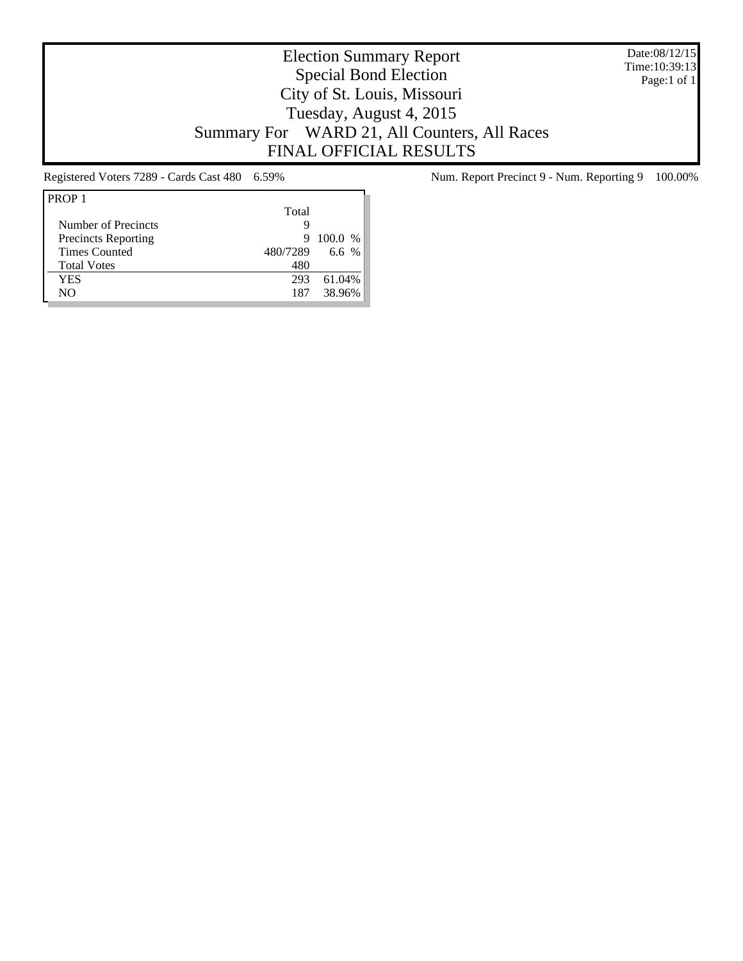Date:08/12/15 Time:10:39:13 Page:1 of 1

# Election Summary Report Special Bond Election City of St. Louis, Missouri Tuesday, August 4, 2015 Summary For WARD 21, All Counters, All Races FINAL OFFICIAL RESULTS

| PROP <sub>1</sub>          |          |         |
|----------------------------|----------|---------|
|                            | Total    |         |
| Number of Precincts        | Q        |         |
| <b>Precincts Reporting</b> | 9        | 100.0 % |
| <b>Times Counted</b>       | 480/7289 | 6.6 $%$ |
| <b>Total Votes</b>         | 480      |         |
| YES                        | 293      | 61.04%  |
| NO                         | 187      | 38.96%  |

Registered Voters 7289 - Cards Cast 480 6.59% Num. Report Precinct 9 - Num. Reporting 9 100.00%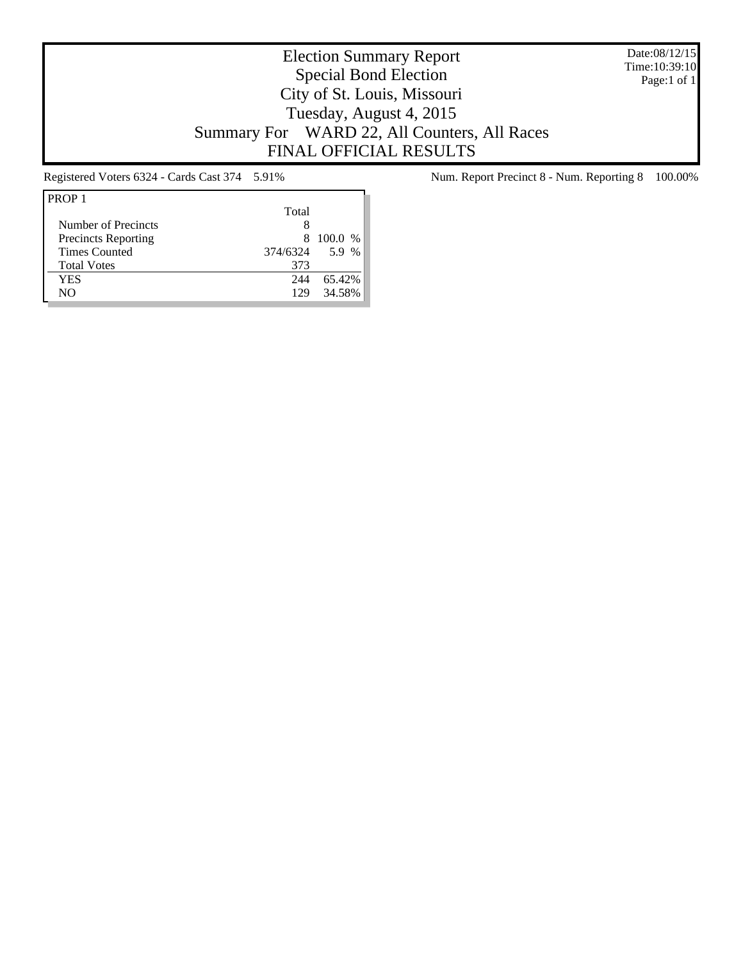Date:08/12/15 Time:10:39:10 Page:1 of 1

# Election Summary Report Special Bond Election City of St. Louis, Missouri Tuesday, August 4, 2015 Summary For WARD 22, All Counters, All Races FINAL OFFICIAL RESULTS

| PROP <sub>1</sub>          |          |         |
|----------------------------|----------|---------|
|                            | Total    |         |
| Number of Precincts        |          |         |
| <b>Precincts Reporting</b> | 8        | 100.0 % |
| <b>Times Counted</b>       | 374/6324 | 5.9 %   |
| <b>Total Votes</b>         | 373      |         |
| YES                        | 244      | 65.42%  |
| NΟ                         | 129      | 34.58%  |

Registered Voters 6324 - Cards Cast 374 5.91% Num. Report Precinct 8 - Num. Reporting 8 100.00%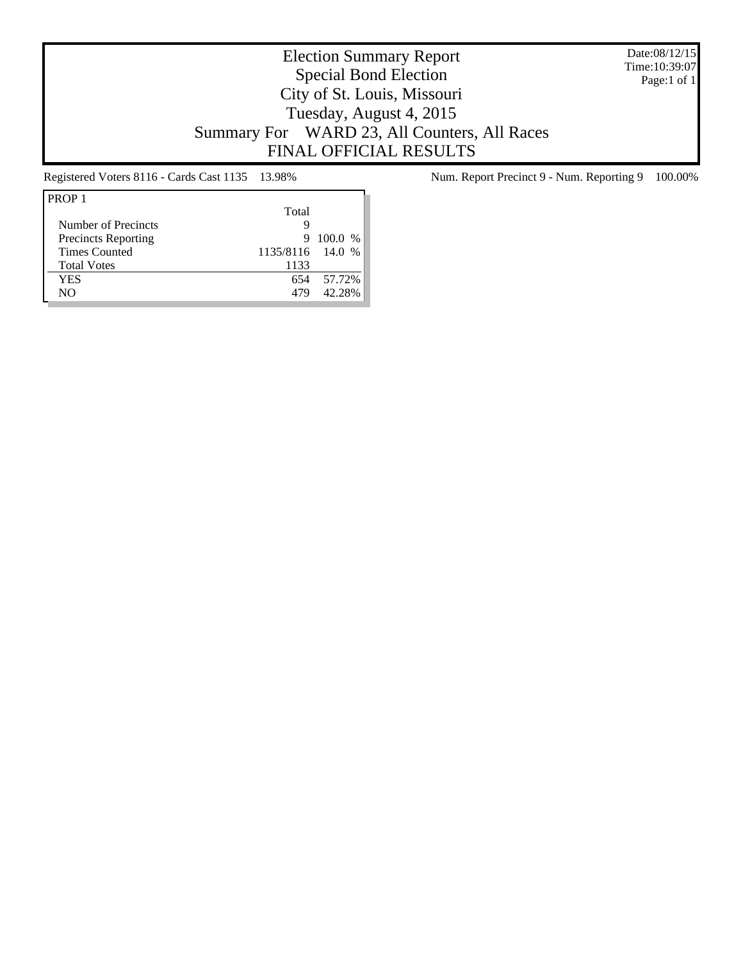Date:08/12/15 Time:10:39:07 Page:1 of 1

# Election Summary Report Special Bond Election City of St. Louis, Missouri Tuesday, August 4, 2015 Summary For WARD 23, All Counters, All Races FINAL OFFICIAL RESULTS

| PROP <sub>1</sub>          |                  |         |
|----------------------------|------------------|---------|
|                            | Total            |         |
| Number of Precincts        | ч                |         |
| <b>Precincts Reporting</b> | 9                | 100.0 % |
| <b>Times Counted</b>       | 1135/8116 14.0 % |         |
| <b>Total Votes</b>         | 1133             |         |
| YES                        | 654              | 57.72%  |
| NΟ                         | 479              | 42.28%  |

Registered Voters 8116 - Cards Cast 1135 13.98% Num. Report Precinct 9 - Num. Reporting 9 100.00%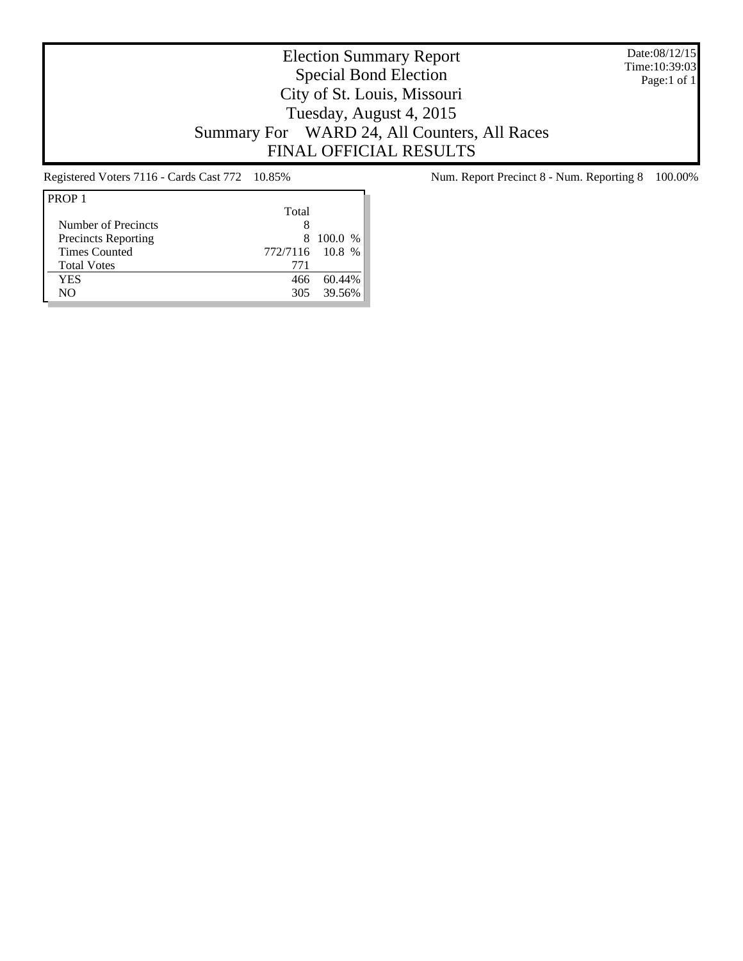Date:08/12/15 Time:10:39:03 Page:1 of 1

# Election Summary Report Special Bond Election City of St. Louis, Missouri Tuesday, August 4, 2015 Summary For WARD 24, All Counters, All Races FINAL OFFICIAL RESULTS

| PROP <sub>1</sub>          |                 |           |
|----------------------------|-----------------|-----------|
|                            | Total           |           |
| Number of Precincts        | 8               |           |
| <b>Precincts Reporting</b> |                 | 8 100.0 % |
| <b>Times Counted</b>       | 772/7116 10.8 % |           |
| <b>Total Votes</b>         | 771             |           |
| YES                        | 466             | 60.44%    |
| NΟ                         | 305             | 39.56%    |

Registered Voters 7116 - Cards Cast 772 10.85% Num. Report Precinct 8 - Num. Reporting 8 100.00%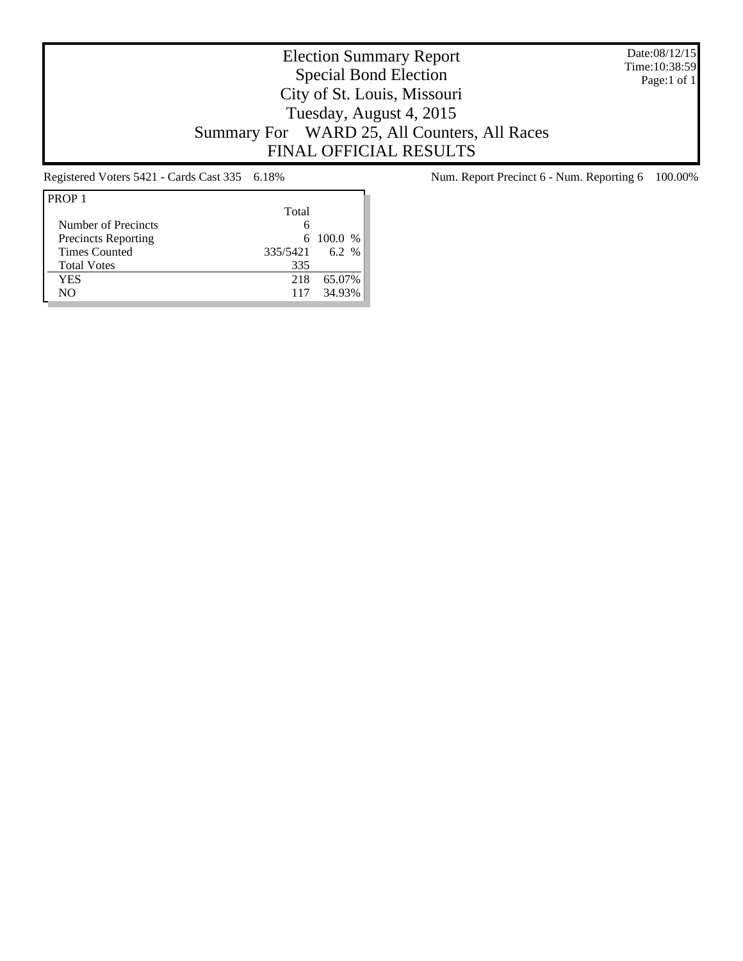Date:08/12/15 Time:10:38:59 Page:1 of 1

# Election Summary Report Special Bond Election City of St. Louis, Missouri Tuesday, August 4, 2015 Summary For WARD 25, All Counters, All Races FINAL OFFICIAL RESULTS

| PROP <sub>1</sub>          |          |           |
|----------------------------|----------|-----------|
|                            | Total    |           |
| Number of Precincts        | 6        |           |
| <b>Precincts Reporting</b> |          | 6 100.0 % |
| <b>Times Counted</b>       | 335/5421 | 6.2 %     |
| <b>Total Votes</b>         | 335      |           |
| YES                        | 218      | 65.07%    |
| NΟ                         | 117      | 34.93%    |

Registered Voters 5421 - Cards Cast 335 6.18% Num. Report Precinct 6 - Num. Reporting 6 100.00%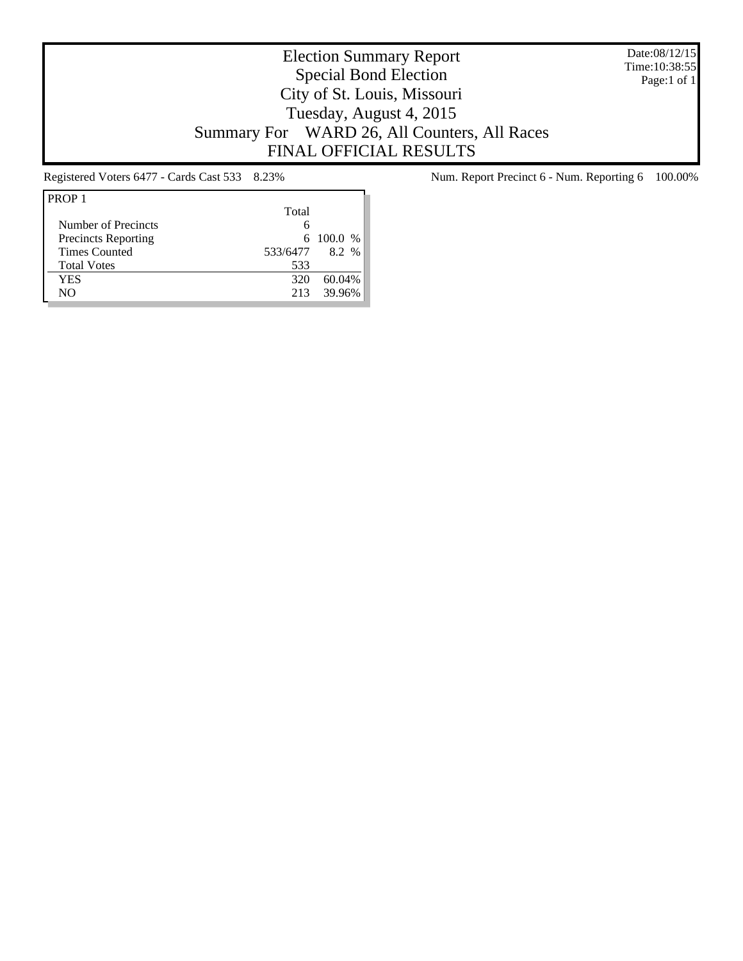Date:08/12/15 Time:10:38:55 Page:1 of 1

# Election Summary Report Special Bond Election City of St. Louis, Missouri Tuesday, August 4, 2015 Summary For WARD 26, All Counters, All Races FINAL OFFICIAL RESULTS

| PROP <sub>1</sub>          |          |           |
|----------------------------|----------|-----------|
|                            | Total    |           |
| Number of Precincts        | 6        |           |
| <b>Precincts Reporting</b> |          | 6 100.0 % |
| <b>Times Counted</b>       | 533/6477 | 8.2%      |
| <b>Total Votes</b>         | 533      |           |
| YES                        | 320      | 60.04%    |
| NΟ                         | 213      | 39.96%    |

Registered Voters 6477 - Cards Cast 533 8.23% Num. Report Precinct 6 - Num. Reporting 6 100.00%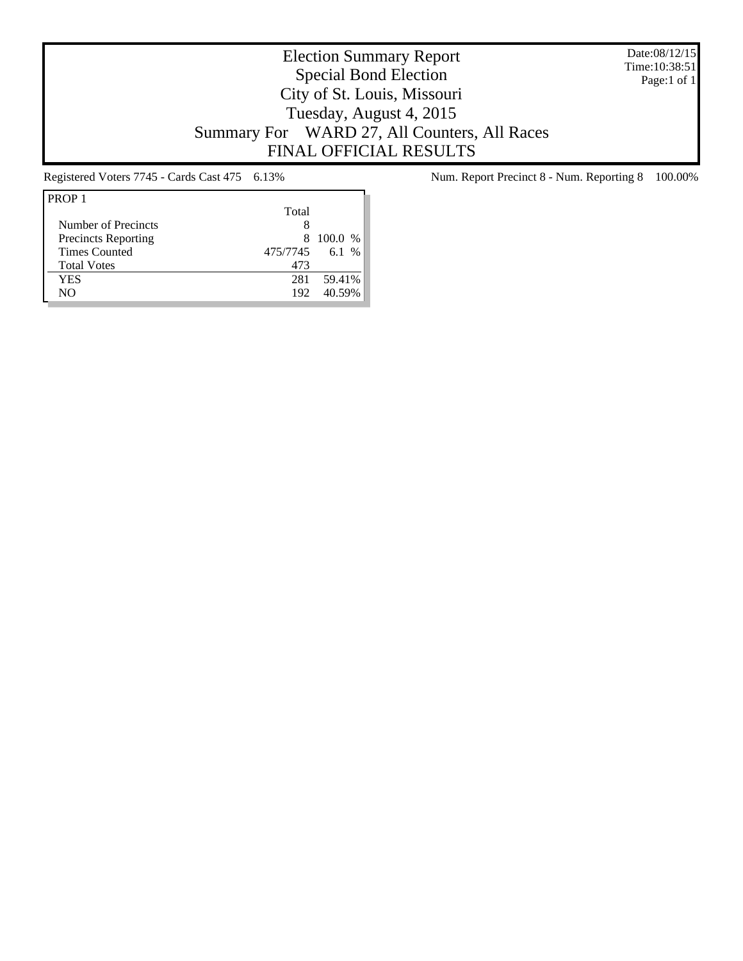Date:08/12/15 Time:10:38:51 Page:1 of 1

# Election Summary Report Special Bond Election City of St. Louis, Missouri Tuesday, August 4, 2015 Summary For WARD 27, All Counters, All Races FINAL OFFICIAL RESULTS

| PROP <sub>1</sub>          |          |         |
|----------------------------|----------|---------|
|                            | Total    |         |
| Number of Precincts        |          |         |
| <b>Precincts Reporting</b> | 8        | 100.0 % |
| <b>Times Counted</b>       | 475/7745 | 6.1 %   |
| <b>Total Votes</b>         | 473      |         |
| YES                        | 281      | 59.41%  |
| NΟ                         | 192      | 40.59%  |

Registered Voters 7745 - Cards Cast 475 6.13% Num. Report Precinct 8 - Num. Reporting 8 100.00%